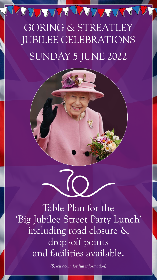## GORING & STREATLEY JUBILEE CELEBRATIONS SUNDAY 5 JUNE 2022

JONARI WYWW



## including road closure & drop-off points and facilities available.

*(Scroll down for full information)*